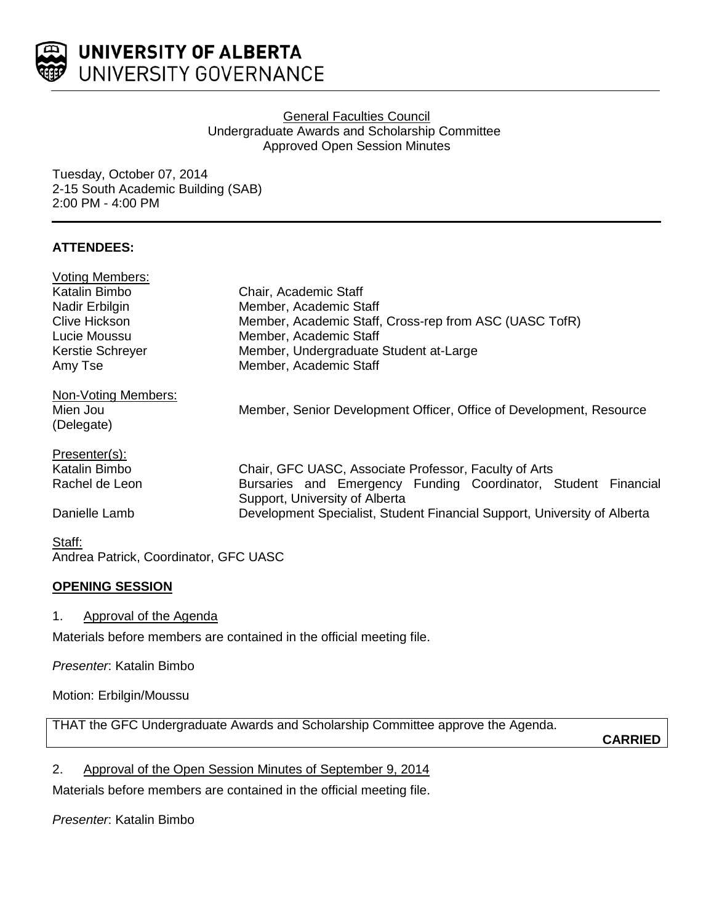

### General Faculties Council Undergraduate Awards and Scholarship Committee Approved Open Session Minutes

Tuesday, October 07, 2014 2-15 South Academic Building (SAB) 2:00 PM - 4:00 PM

## **ATTENDEES:**

| <b>Voting Members:</b>                |                                                                          |
|---------------------------------------|--------------------------------------------------------------------------|
| Katalin Bimbo                         | Chair, Academic Staff                                                    |
| Nadir Erbilgin                        | Member, Academic Staff                                                   |
| <b>Clive Hickson</b>                  | Member, Academic Staff, Cross-rep from ASC (UASC TofR)                   |
| Lucie Moussu                          | Member, Academic Staff                                                   |
| Kerstie Schreyer                      | Member, Undergraduate Student at-Large                                   |
| Amy Tse                               | Member, Academic Staff                                                   |
| Non-Voting Members:                   |                                                                          |
| Mien Jou                              | Member, Senior Development Officer, Office of Development, Resource      |
| (Delegate)                            |                                                                          |
| Presenter(s):                         |                                                                          |
| Katalin Bimbo                         | Chair, GFC UASC, Associate Professor, Faculty of Arts                    |
| Rachel de Leon                        | Bursaries and Emergency Funding Coordinator, Student Financial           |
|                                       | Support, University of Alberta                                           |
| Danielle Lamb                         | Development Specialist, Student Financial Support, University of Alberta |
| Staff:                                |                                                                          |
| Andrea Patrick, Coordinator, GFC UASC |                                                                          |

# **OPENING SESSION**

### 1. Approval of the Agenda

Materials before members are contained in the official meeting file.

*Presenter*: Katalin Bimbo

Motion: Erbilgin/Moussu

THAT the GFC Undergraduate Awards and Scholarship Committee approve the Agenda.

**CARRIED**

2. Approval of the Open Session Minutes of September 9, 2014

Materials before members are contained in the official meeting file.

## *Presenter*: Katalin Bimbo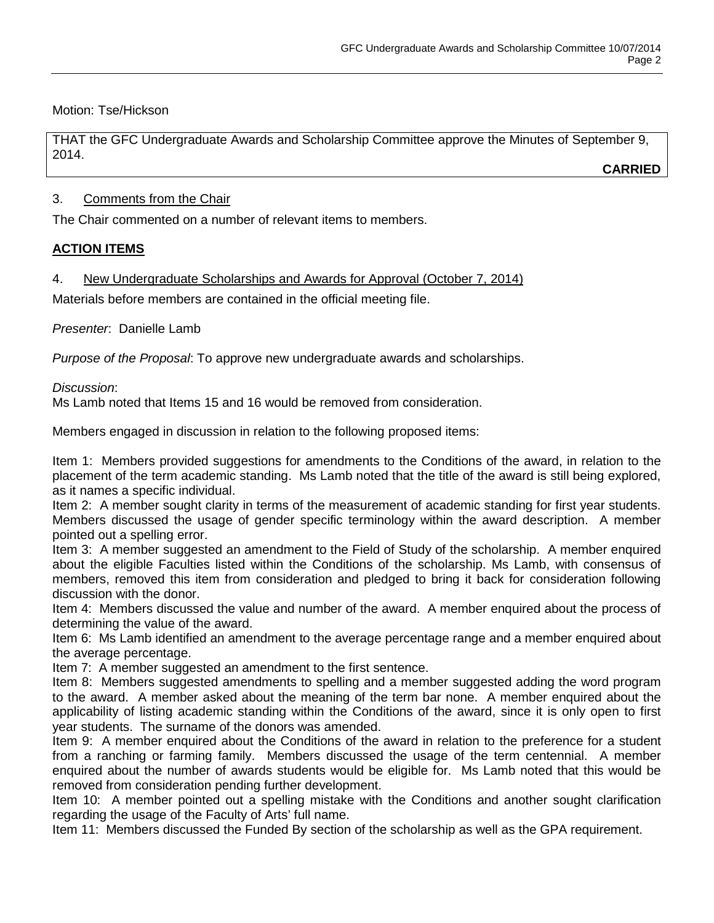Motion: Tse/Hickson

THAT the GFC Undergraduate Awards and Scholarship Committee approve the Minutes of September 9, 2014.

**CARRIED**

## 3. Comments from the Chair

The Chair commented on a number of relevant items to members.

## **ACTION ITEMS**

4. New Undergraduate Scholarships and Awards for Approval (October 7, 2014)

Materials before members are contained in the official meeting file.

*Presenter*: Danielle Lamb

*Purpose of the Proposal*: To approve new undergraduate awards and scholarships.

### *Discussion*:

Ms Lamb noted that Items 15 and 16 would be removed from consideration.

Members engaged in discussion in relation to the following proposed items:

Item 1: Members provided suggestions for amendments to the Conditions of the award, in relation to the placement of the term academic standing. Ms Lamb noted that the title of the award is still being explored, as it names a specific individual.

Item 2: A member sought clarity in terms of the measurement of academic standing for first year students. Members discussed the usage of gender specific terminology within the award description. A member pointed out a spelling error.

Item 3: A member suggested an amendment to the Field of Study of the scholarship. A member enquired about the eligible Faculties listed within the Conditions of the scholarship. Ms Lamb, with consensus of members, removed this item from consideration and pledged to bring it back for consideration following discussion with the donor.

Item 4: Members discussed the value and number of the award. A member enquired about the process of determining the value of the award.

Item 6: Ms Lamb identified an amendment to the average percentage range and a member enquired about the average percentage.

Item 7: A member suggested an amendment to the first sentence.

Item 8: Members suggested amendments to spelling and a member suggested adding the word program to the award. A member asked about the meaning of the term bar none. A member enquired about the applicability of listing academic standing within the Conditions of the award, since it is only open to first year students. The surname of the donors was amended.

Item 9: A member enquired about the Conditions of the award in relation to the preference for a student from a ranching or farming family. Members discussed the usage of the term centennial. A member enquired about the number of awards students would be eligible for. Ms Lamb noted that this would be removed from consideration pending further development.

Item 10: A member pointed out a spelling mistake with the Conditions and another sought clarification regarding the usage of the Faculty of Arts' full name.

Item 11: Members discussed the Funded By section of the scholarship as well as the GPA requirement.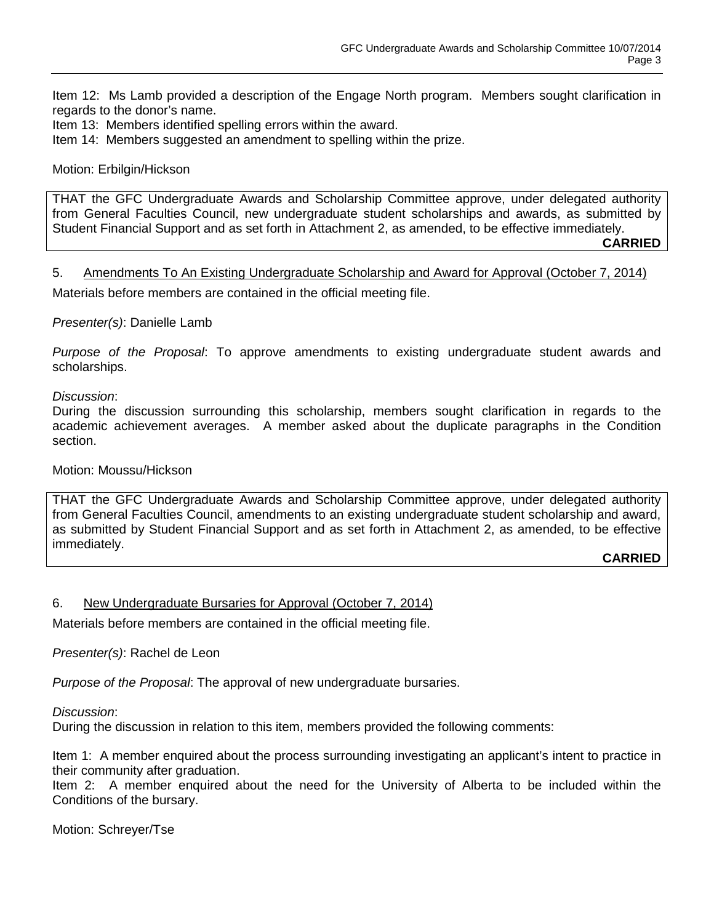Item 12: Ms Lamb provided a description of the Engage North program. Members sought clarification in regards to the donor's name.

Item 13: Members identified spelling errors within the award.

Item 14: Members suggested an amendment to spelling within the prize.

#### Motion: Erbilgin/Hickson

THAT the GFC Undergraduate Awards and Scholarship Committee approve, under delegated authority from General Faculties Council, new undergraduate student scholarships and awards, as submitted by Student Financial Support and as set forth in Attachment 2, as amended, to be effective immediately. **CARRIED**

#### 5. Amendments To An Existing Undergraduate Scholarship and Award for Approval (October 7, 2014)

Materials before members are contained in the official meeting file.

#### *Presenter(s)*: Danielle Lamb

*Purpose of the Proposal*: To approve amendments to existing undergraduate student awards and scholarships.

#### *Discussion*:

During the discussion surrounding this scholarship, members sought clarification in regards to the academic achievement averages. A member asked about the duplicate paragraphs in the Condition section.

#### Motion: Moussu/Hickson

THAT the GFC Undergraduate Awards and Scholarship Committee approve, under delegated authority from General Faculties Council, amendments to an existing undergraduate student scholarship and award, as submitted by Student Financial Support and as set forth in Attachment 2, as amended, to be effective immediately.

#### **CARRIED**

#### 6. New Undergraduate Bursaries for Approval (October 7, 2014)

Materials before members are contained in the official meeting file.

#### *Presenter(s)*: Rachel de Leon

*Purpose of the Proposal*: The approval of new undergraduate bursaries.

*Discussion*:

During the discussion in relation to this item, members provided the following comments:

Item 1: A member enquired about the process surrounding investigating an applicant's intent to practice in their community after graduation.

Item 2: A member enquired about the need for the University of Alberta to be included within the Conditions of the bursary.

Motion: Schreyer/Tse